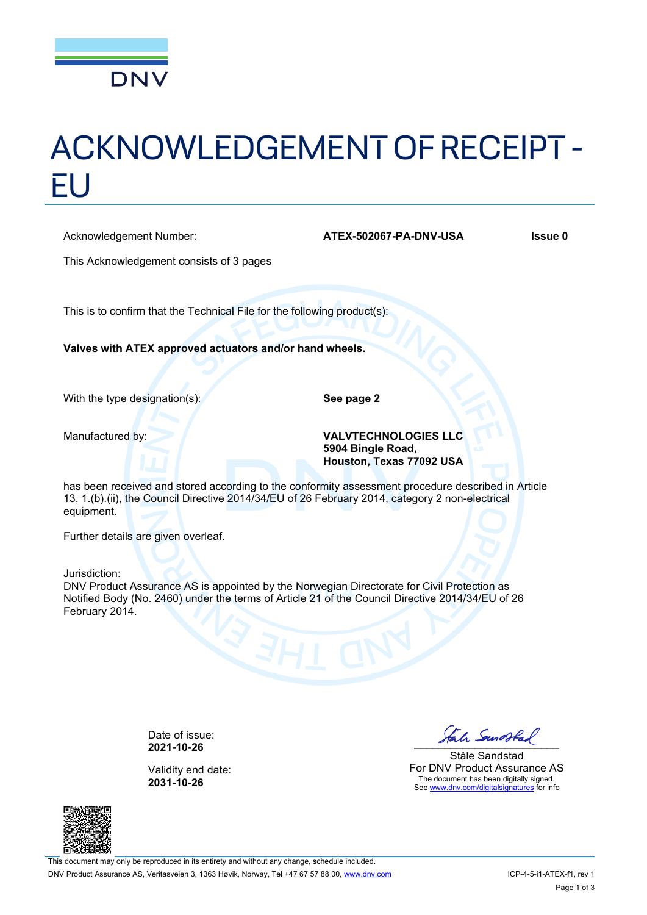

# ACKNOWLEDGEMENT OF RECEIPT - EU

Acknowledgement Number: **ATEX-502067-PA-DNV-USA** Issue 0

| This Acknowledgement consists of 3 pages                                                                                                                                                                                          |                                                                              |
|-----------------------------------------------------------------------------------------------------------------------------------------------------------------------------------------------------------------------------------|------------------------------------------------------------------------------|
| This is to confirm that the Technical File for the following product(s):                                                                                                                                                          |                                                                              |
| Valves with ATEX approved actuators and/or hand wheels.                                                                                                                                                                           |                                                                              |
| With the type designation(s):                                                                                                                                                                                                     | See page 2                                                                   |
| Manufactured by:                                                                                                                                                                                                                  | <b>VALVTECHNOLOGIES LLC</b><br>5904 Bingle Road,<br>Houston, Texas 77092 USA |
| has been received and stored according to the conformity assessment procedure described in Article<br>13, 1.(b).(ii), the Council Directive 2014/34/EU of 26 February 2014, category 2 non-electrical<br>equipment.               |                                                                              |
| Further details are given overleaf.                                                                                                                                                                                               |                                                                              |
| Jurisdiction:<br>DNV Product Assurance AS is appointed by the Norwegian Directorate for Civil Protection as<br>Notified Body (No. 2460) under the terms of Article 21 of the Council Directive 2014/34/EU of 26<br>February 2014. |                                                                              |

Date of issue:<br>**2021-10-26** 

Validity end date: **2031-10-26**



Ståle Sandstad For DNV Product Assurance AS The document has been digitally signed. See [www.dnv.com/digitalsignatures](http://www.dnv.com/digitalsignatures) for info

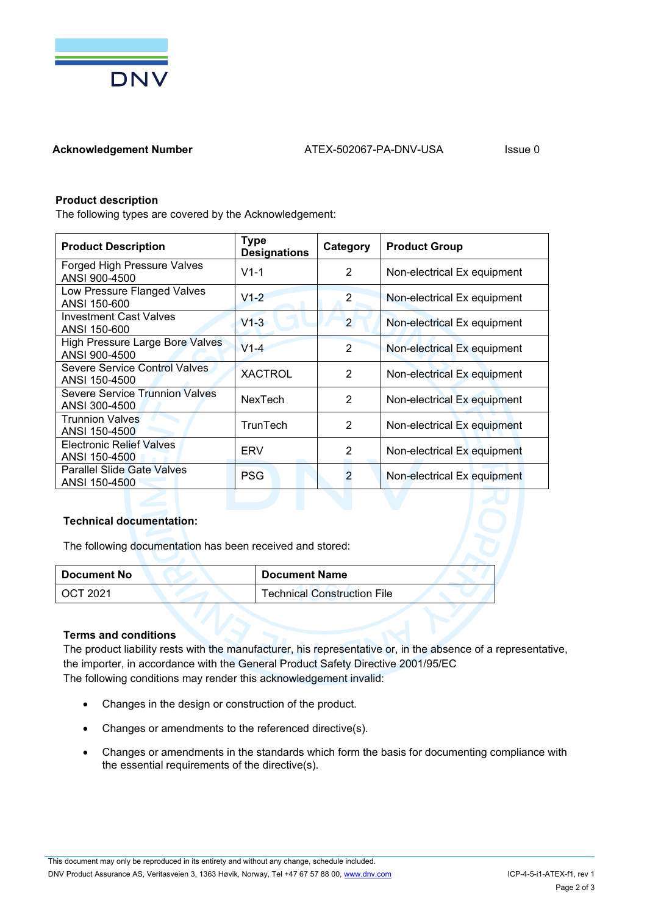

# **Product description**

The following types are covered by the Acknowledgement:

| <b>Product Description</b>                              | <b>Type</b><br><b>Designations</b> | Category       | <b>Product Group</b>        |
|---------------------------------------------------------|------------------------------------|----------------|-----------------------------|
| Forged High Pressure Valves<br>ANSI 900-4500            | $V1 - 1$                           | 2              | Non-electrical Ex equipment |
| Low Pressure Flanged Valves<br>ANSI 150-600             | $V1-2$                             | 2              | Non-electrical Ex equipment |
| <b>Investment Cast Valves</b><br>ANSI 150-600           | $V1-3$                             | 2              | Non-electrical Ex equipment |
| <b>High Pressure Large Bore Valves</b><br>ANSI 900-4500 | $V1-4$                             | 2              | Non-electrical Ex equipment |
| Severe Service Control Valves<br>ANSI 150-4500          | <b>XACTROL</b>                     | 2              | Non-electrical Ex equipment |
| <b>Severe Service Trunnion Valves</b><br>ANSI 300-4500  | <b>NexTech</b>                     | 2              | Non-electrical Ex equipment |
| <b>Trunnion Valves</b><br>ANSI 150-4500                 | TrunTech                           | $\overline{2}$ | Non-electrical Ex equipment |
| <b>Electronic Relief Valves</b><br>ANSI 150-4500        | ERV                                | 2              | Non-electrical Ex equipment |
| <b>Parallel Slide Gate Valves</b><br>ANSI 150-4500      | <b>PSG</b>                         | $\overline{2}$ | Non-electrical Ex equipment |

# **Technical documentation:**

The following documentation has been received and stored:

| Document No | <b>Document Name</b>               |
|-------------|------------------------------------|
| OCT 2021    | <b>Technical Construction File</b> |

#### **Terms and conditions**

The product liability rests with the manufacturer, his representative or, in the absence of a representative, the importer, in accordance with the General Product Safety Directive 2001/95/EC The following conditions may render this acknowledgement invalid:

- Changes in the design or construction of the product.
- Changes or amendments to the referenced directive(s).
- Changes or amendments in the standards which form the basis for documenting compliance with the essential requirements of the directive(s).